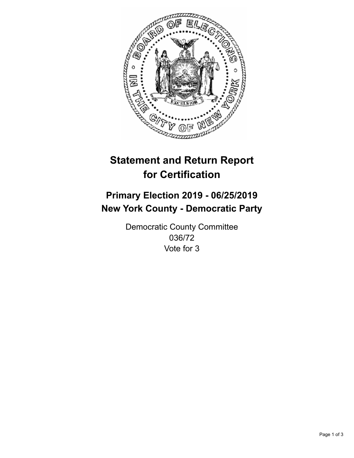

## **Statement and Return Report for Certification**

## **Primary Election 2019 - 06/25/2019 New York County - Democratic Party**

Democratic County Committee 036/72 Vote for 3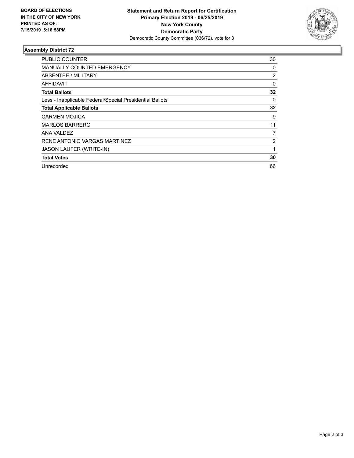

## **Assembly District 72**

| PUBLIC COUNTER                                           | 30             |
|----------------------------------------------------------|----------------|
| <b>MANUALLY COUNTED EMERGENCY</b>                        | 0              |
| ABSENTEE / MILITARY                                      | $\overline{2}$ |
| AFFIDAVIT                                                | 0              |
| <b>Total Ballots</b>                                     | 32             |
| Less - Inapplicable Federal/Special Presidential Ballots | $\Omega$       |
| <b>Total Applicable Ballots</b>                          | 32             |
| <b>CARMEN MOJICA</b>                                     | 9              |
| <b>MARLOS BARRERO</b>                                    | 11             |
| ANA VALDEZ                                               | 7              |
| RENE ANTONIO VARGAS MARTINEZ                             | 2              |
| JASON LAUFER (WRITE-IN)                                  | 1              |
| <b>Total Votes</b>                                       | 30             |
| Unrecorded                                               | 66             |